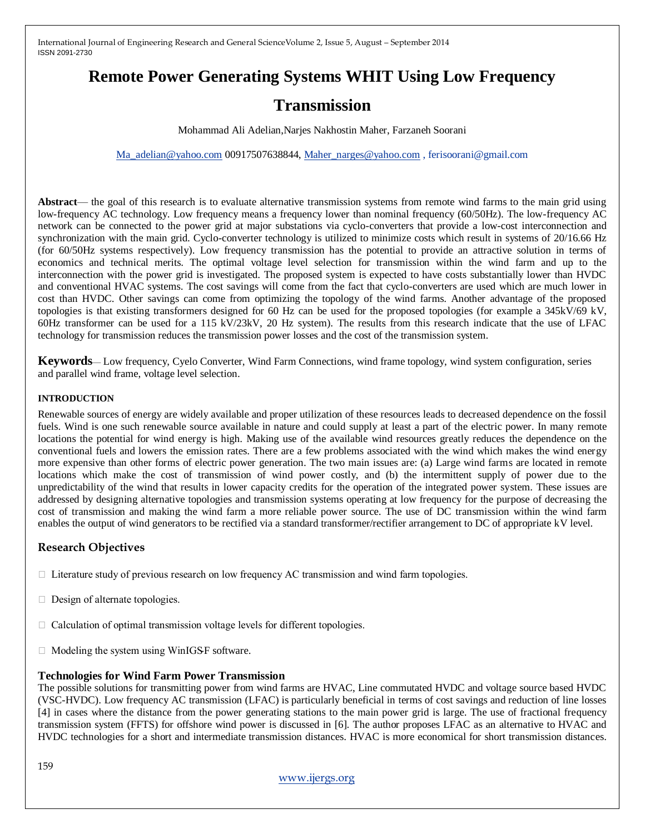# **Remote Power Generating Systems WHIT Using Low Frequency**

## **Transmission**

Mohammad Ali Adelian,Narjes Nakhostin Maher, Farzaneh Soorani

[Ma\\_adelian@yahoo.com](mailto:Ma_adelian@yahoo.com) 00917507638844, [Maher\\_narges@yahoo.com](mailto:Maher_narges@yahoo.com) , ferisoorani@gmail.com

Abstract— the goal of this research is to evaluate alternative transmission systems from remote wind farms to the main grid using low-frequency AC technology. Low frequency means a frequency lower than nominal frequency (60/50Hz). The low-frequency AC network can be connected to the power grid at major substations via cyclo-converters that provide a low-cost interconnection and synchronization with the main grid. Cyclo-converter technology is utilized to minimize costs which result in systems of 20/16.66 Hz (for 60/50Hz systems respectively). Low frequency transmission has the potential to provide an attractive solution in terms of economics and technical merits. The optimal voltage level selection for transmission within the wind farm and up to the interconnection with the power grid is investigated. The proposed system is expected to have costs substantially lower than HVDC and conventional HVAC systems. The cost savings will come from the fact that cyclo-converters are used which are much lower in cost than HVDC. Other savings can come from optimizing the topology of the wind farms. Another advantage of the proposed topologies is that existing transformers designed for 60 Hz can be used for the proposed topologies (for example a 345kV/69 kV, 60Hz transformer can be used for a 115 kV/23kV, 20 Hz system). The results from this research indicate that the use of LFAC technology for transmission reduces the transmission power losses and the cost of the transmission system.

**Keywords**— Low frequency, Cyelo Converter, Wind Farm Connections, wind frame topology, wind system configuration, series and parallel wind frame, voltage level selection.

#### **INTRODUCTION**

Renewable sources of energy are widely available and proper utilization of these resources leads to decreased dependence on the fossil fuels. Wind is one such renewable source available in nature and could supply at least a part of the electric power. In many remote locations the potential for wind energy is high. Making use of the available wind resources greatly reduces the dependence on the conventional fuels and lowers the emission rates. There are a few problems associated with the wind which makes the wind energy more expensive than other forms of electric power generation. The two main issues are: (a) Large wind farms are located in remote locations which make the cost of transmission of wind power costly, and (b) the intermittent supply of power due to the unpredictability of the wind that results in lower capacity credits for the operation of the integrated power system. These issues are addressed by designing alternative topologies and transmission systems operating at low frequency for the purpose of decreasing the cost of transmission and making the wind farm a more reliable power source. The use of DC transmission within the wind farm enables the output of wind generators to be rectified via a standard transformer/rectifier arrangement to DC of appropriate kV level.

### **Research Objectives**

- $\Box$  Literature study of previous research on low frequency AC transmission and wind farm topologies.
- $\Box$  Design of alternate topologies.
- □ Calculation of optimal transmission voltage levels for different topologies.
- $\Box$  Modeling the system using WinIGS-F software.

### **Technologies for Wind Farm Power Transmission**

The possible solutions for transmitting power from wind farms are HVAC, Line commutated HVDC and voltage source based HVDC (VSC-HVDC). Low frequency AC transmission (LFAC) is particularly beneficial in terms of cost savings and reduction of line losses [4] in cases where the distance from the power generating stations to the main power grid is large. The use of fractional frequency transmission system (FFTS) for offshore wind power is discussed in [6]. The author proposes LFAC as an alternative to HVAC and HVDC technologies for a short and intermediate transmission distances. HVAC is more economical for short transmission distances.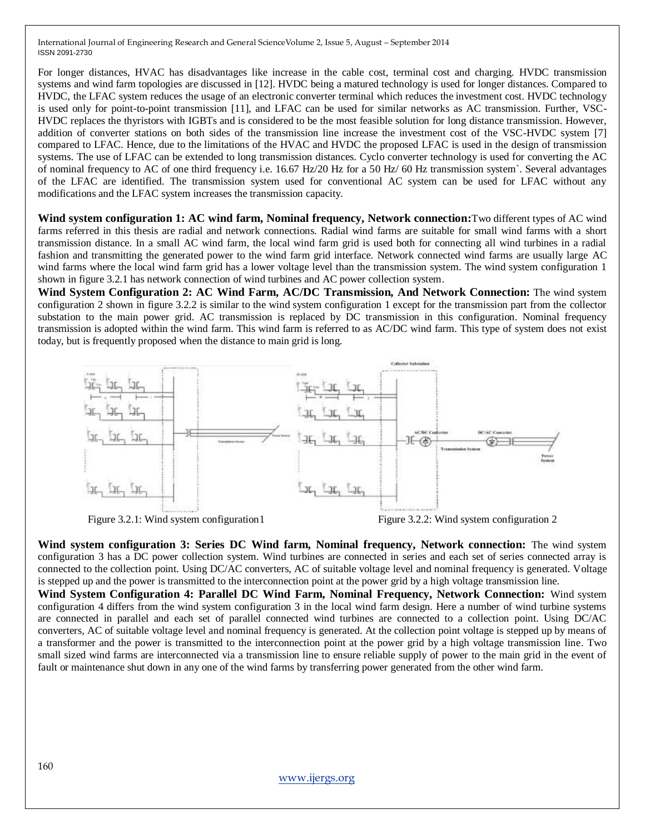For longer distances, HVAC has disadvantages like increase in the cable cost, terminal cost and charging. HVDC transmission systems and wind farm topologies are discussed in [12]. HVDC being a matured technology is used for longer distances. Compared to HVDC, the LFAC system reduces the usage of an electronic converter terminal which reduces the investment cost. HVDC technology is used only for point-to-point transmission [11], and LFAC can be used for similar networks as AC transmission. Further, VSC-HVDC replaces the thyristors with IGBTs and is considered to be the most feasible solution for long distance transmission. However, addition of converter stations on both sides of the transmission line increase the investment cost of the VSC-HVDC system [7] compared to LFAC. Hence, due to the limitations of the HVAC and HVDC the proposed LFAC is used in the design of transmission systems. The use of LFAC can be extended to long transmission distances. Cyclo converter technology is used for converting the AC of nominal frequency to AC of one third frequency i.e. 16.67 Hz/20 Hz for a 50 Hz/ 60 Hz transmission system`. Several advantages of the LFAC are identified. The transmission system used for conventional AC system can be used for LFAC without any modifications and the LFAC system increases the transmission capacity.

**Wind system configuration 1: AC wind farm, Nominal frequency, Network connection:**Two different types of AC wind farms referred in this thesis are radial and network connections. Radial wind farms are suitable for small wind farms with a short transmission distance. In a small AC wind farm, the local wind farm grid is used both for connecting all wind turbines in a radial fashion and transmitting the generated power to the wind farm grid interface. Network connected wind farms are usually large AC wind farms where the local wind farm grid has a lower voltage level than the transmission system. The wind system configuration 1 shown in figure 3.2.1 has network connection of wind turbines and AC power collection system.

**Wind System Configuration 2: AC Wind Farm, AC/DC Transmission, And Network Connection:** The wind system configuration 2 shown in figure 3.2.2 is similar to the wind system configuration 1 except for the transmission part from the collector substation to the main power grid. AC transmission is replaced by DC transmission in this configuration. Nominal frequency transmission is adopted within the wind farm. This wind farm is referred to as AC/DC wind farm. This type of system does not exist today, but is frequently proposed when the distance to main grid is long.



Figure 3.2.1: Wind system configuration 1 Figure 3.2.2: Wind system configuration 2

**Wind system configuration 3: Series DC Wind farm, Nominal frequency, Network connection:** The wind system configuration 3 has a DC power collection system. Wind turbines are connected in series and each set of series connected array is connected to the collection point. Using DC/AC converters, AC of suitable voltage level and nominal frequency is generated. Voltage is stepped up and the power is transmitted to the interconnection point at the power grid by a high voltage transmission line.

**Wind System Configuration 4: Parallel DC Wind Farm, Nominal Frequency, Network Connection:** Wind system configuration 4 differs from the wind system configuration 3 in the local wind farm design. Here a number of wind turbine systems are connected in parallel and each set of parallel connected wind turbines are connected to a collection point. Using DC/AC converters, AC of suitable voltage level and nominal frequency is generated. At the collection point voltage is stepped up by means of a transformer and the power is transmitted to the interconnection point at the power grid by a high voltage transmission line. Two small sized wind farms are interconnected via a transmission line to ensure reliable supply of power to the main grid in the event of fault or maintenance shut down in any one of the wind farms by transferring power generated from the other wind farm.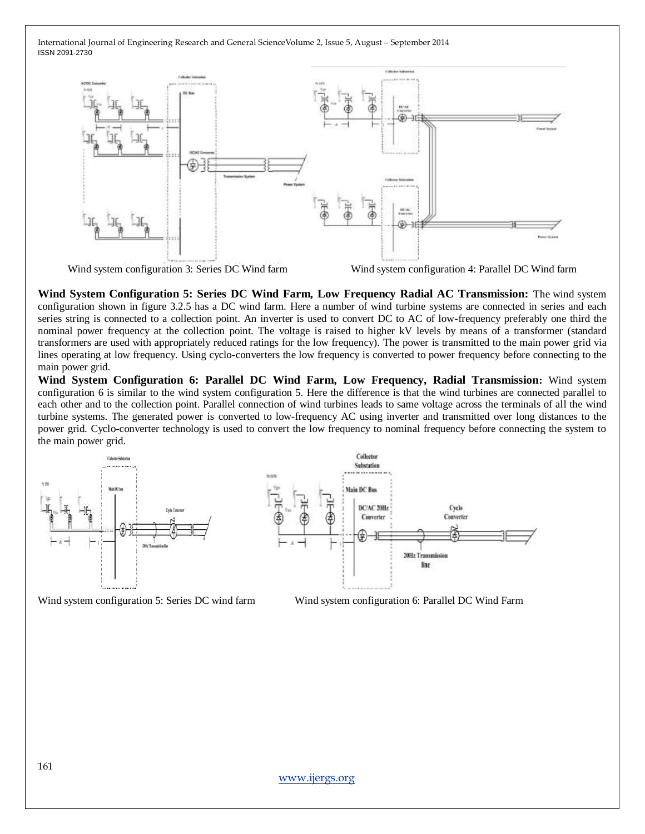

**Wind System Configuration 5: Series DC Wind Farm, Low Frequency Radial AC Transmission:** The wind system configuration shown in figure 3.2.5 has a DC wind farm. Here a number of wind turbine systems are connected in series and each series string is connected to a collection point. An inverter is used to convert DC to AC of low-frequency preferably one third the nominal power frequency at the collection point. The voltage is raised to higher kV levels by means of a transformer (standard transformers are used with appropriately reduced ratings for the low frequency). The power is transmitted to the main power grid via lines operating at low frequency. Using cyclo-converters the low frequency is converted to power frequency before connecting to the main power grid.

**Wind System Configuration 6: Parallel DC Wind Farm, Low Frequency, Radial Transmission:** Wind system configuration 6 is similar to the wind system configuration 5. Here the difference is that the wind turbines are connected parallel to each other and to the collection point. Parallel connection of wind turbines leads to same voltage across the terminals of all the wind turbine systems. The generated power is converted to low-frequency AC using inverter and transmitted over long distances to the power grid. Cyclo-converter technology is used to convert the low frequency to nominal frequency before connecting the system to the main power grid.



Wind system configuration 5: Series DC wind farm Wind system configuration 6: Parallel DC Wind Farm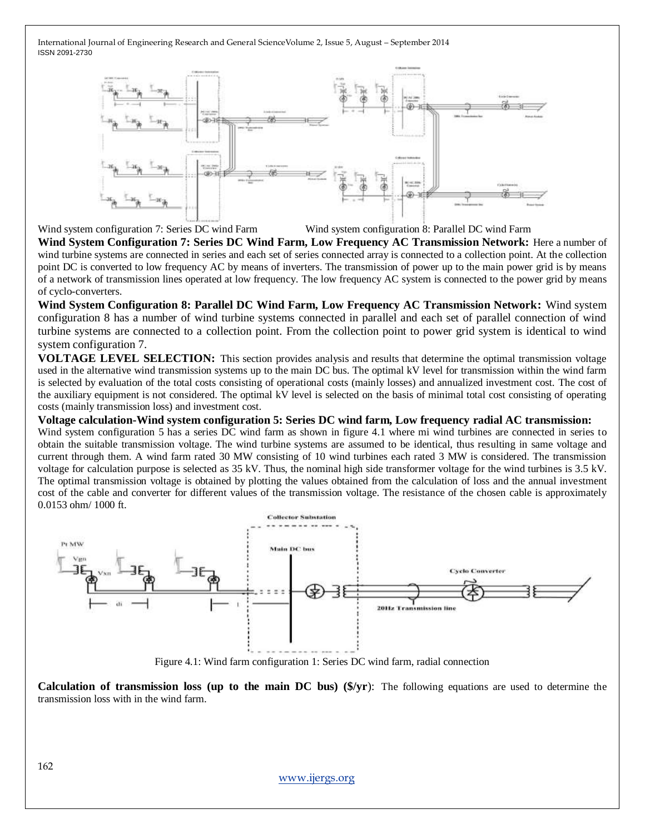

Wind system configuration 7: Series DC wind Farm Wind system configuration 8: Parallel DC wind Farm

**Wind System Configuration 7: Series DC Wind Farm, Low Frequency AC Transmission Network:** Here a number of wind turbine systems are connected in series and each set of series connected array is connected to a collection point. At the collection point DC is converted to low frequency AC by means of inverters. The transmission of power up to the main power grid is by means of a network of transmission lines operated at low frequency. The low frequency AC system is connected to the power grid by means of cyclo-converters.

**Wind System Configuration 8: Parallel DC Wind Farm, Low Frequency AC Transmission Network:** Wind system configuration 8 has a number of wind turbine systems connected in parallel and each set of parallel connection of wind turbine systems are connected to a collection point. From the collection point to power grid system is identical to wind system configuration 7.

**VOLTAGE LEVEL SELECTION:** This section provides analysis and results that determine the optimal transmission voltage used in the alternative wind transmission systems up to the main DC bus. The optimal kV level for transmission within the wind farm is selected by evaluation of the total costs consisting of operational costs (mainly losses) and annualized investment cost. The cost of the auxiliary equipment is not considered. The optimal kV level is selected on the basis of minimal total cost consisting of operating costs (mainly transmission loss) and investment cost.

**Voltage calculation-Wind system configuration 5: Series DC wind farm, Low frequency radial AC transmission:**

Wind system configuration 5 has a series DC wind farm as shown in figure 4.1 where mi wind turbines are connected in series to obtain the suitable transmission voltage. The wind turbine systems are assumed to be identical, thus resulting in same voltage and current through them. A wind farm rated 30 MW consisting of 10 wind turbines each rated 3 MW is considered. The transmission voltage for calculation purpose is selected as 35 kV. Thus, the nominal high side transformer voltage for the wind turbines is 3.5 kV. The optimal transmission voltage is obtained by plotting the values obtained from the calculation of loss and the annual investment cost of the cable and converter for different values of the transmission voltage. The resistance of the chosen cable is approximately 0.0153 ohm/ 1000 ft.



Figure 4.1: Wind farm configuration 1: Series DC wind farm, radial connection

**Calculation of transmission loss (up to the main DC bus) (\$/yr**): The following equations are used to determine the transmission loss with in the wind farm.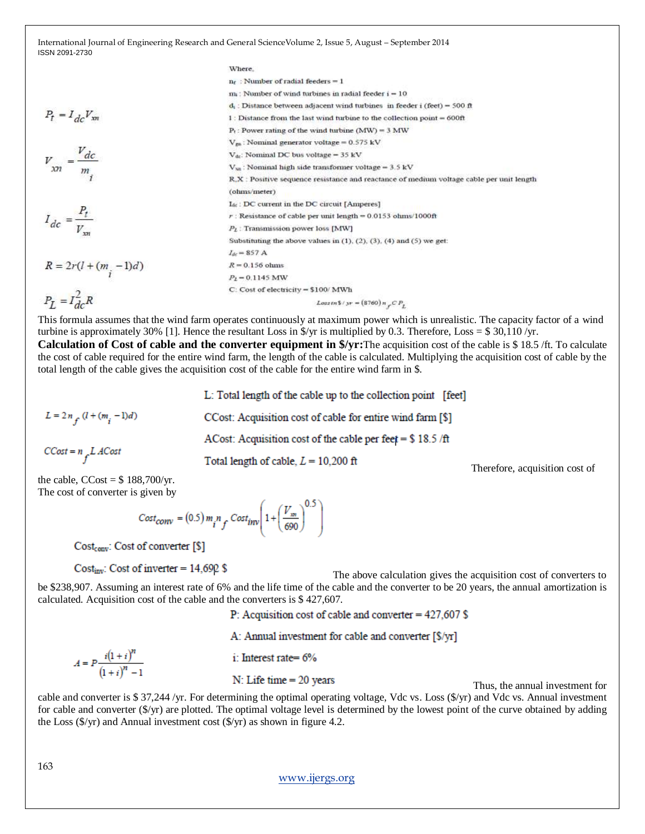where,  
\n
$$
P_t = I_{dc}V_{sn}
$$
  
\n $P_t = I_{dc}V_{sn}$   
\n $\frac{V_{sn}}{m}$   
\n $\frac{V_{m}}{m}$   
\n $\frac{V_{m}}{m}$   
\n $\frac{V_{m}}{m}$   
\n $\frac{V_{m}}{m}$   
\n $\frac{V_{m}}{m}$   
\n $\frac{V_{m}}{m}$   
\n $\frac{V_{m}}{m}$   
\n $\frac{V_{m}}{m}$   
\n $\frac{V_{m}}{m}$   
\n $\frac{V_{m}}{m}$   
\n $\frac{V_{m}}{m}$   
\n $\frac{V_{m}}{m}$   
\n $\frac{V_{m}}{m}$   
\n $\frac{V_{m}}{m}$   
\n $\frac{V_{m}}{m}$   
\n $\frac{V_{m}}{m}$   
\n $\frac{V_{m}}{m}$   
\n $\frac{V_{m}}{m}$   
\n $\frac{V_{m}}{m}$   
\n $\frac{V_{m}}{m}$   
\n $\frac{V_{m}}{m}$   
\n $\frac{V_{m}}{m}$   
\n $\frac{V_{m}}{m}$   
\n $\frac{V_{m}}{m}$   
\n $\frac{V_{m}}{m}$   
\n $\frac{V_{m}}{m}$   
\n $\frac{V_{m}}{m}$   
\n $\frac{V_{m}}{m}$   
\n $\frac{V_{m}}{m}$   
\n $\frac{V_{m}}{m}$   
\n $\frac{V_{m}}{m}$   
\n $\frac{V_{m}}{m}$   
\n $\frac{V_{m}}{m}$   
\n $\frac{V_{m}}{m}$   
\n $\frac{V_{m}}{m}$   
\n $\frac{V_{m}}{m}$   
\n $\frac{V_{m}}{m}$   
\n $\frac{V_{m}}{m}$   
\n $\frac{V_{m}}{m}$   
\n $\frac{V_{m}}{m}$   
\n $\frac{V_{m}}{m}$   
\n $\frac{V_{m}}{$ 

This formula assumes that the wind farm operates continuously at maximum power which is unrealistic. The capacity factor of a wind turbine is approximately 30% [1]. Hence the resultant Loss in  $\frac{f}{f}$  is multiplied by 0.3. Therefore, Loss = \$ 30,110 /yr.

**Calculation of Cost of cable and the converter equipment in \$/yr:**The acquisition cost of the cable is \$ 18.5 /ft. To calculate the cost of cable required for the entire wind farm, the length of the cable is calculated. Multiplying the acquisition cost of cable by the total length of the cable gives the acquisition cost of the cable for the entire wind farm in \$.

L: Total length of the cable up to the collection point [feet]

 $L = 2n_f(l + (m_i - 1)d)$ 

CCost: Acquisition cost of cable for entire wind farm [\$] ACost: Acquisition cost of the cable per feet =  $$18.5 / ft$ 

$$
CCost = n_f LACost
$$

**Total length of cable,**  $L = 10,200$  **ft<br>Therefore, acquisition cost of** 

the cable,  $CCost = $ 188,700/yr.$ The cost of converter is given by

$$
Cost_{conv} = (0.5) m_i n_f Cost_{inv} \left( 1 + \left( \frac{V_m}{690} \right)^{0.5} \right)
$$

Cost<sub>conv</sub>: Cost of converter [\$]

Cost<sub>inv</sub>: Cost of inverter =  $14,690$  \$<br>The above calculation gives the acquisition cost of converters to be \$238,907. Assuming an interest rate of 6% and the life time of the cable and the converter to be 20 years, the annual amortization is calculated. Acquisition cost of the cable and the converters is \$ 427,607.

P: Acquisition cost of cable and converter =  $427.607$  \$

A: Annual investment for cable and converter [\$/yr]

$$
A = P \frac{i(1+i)^n}{(1+i)^n - 1}
$$

i: Interest rate= $6\%$ 

**N**: Life time = 20 years Thus, the annual investment for

cable and converter is \$ 37,244 /yr. For determining the optimal operating voltage, Vdc vs. Loss (\$/yr) and Vdc vs. Annual investment for cable and converter (\$/yr) are plotted. The optimal voltage level is determined by the lowest point of the curve obtained by adding the Loss  $(\frac{f}{y})$  and Annual investment cost  $(\frac{f}{y})$  as shown in figure 4.2.

[www.ijergs.org](http://www.ijergs.org/)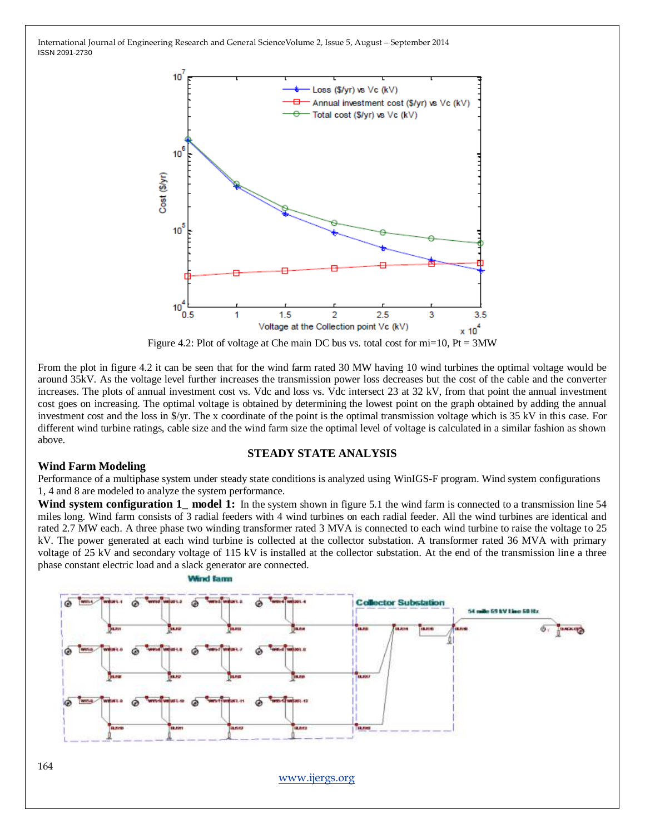

Figure 4.2: Plot of voltage at Che main DC bus vs. total cost for  $mi=10$ , Pt = 3MW

From the plot in figure 4.2 it can be seen that for the wind farm rated 30 MW having 10 wind turbines the optimal voltage would be around 35kV. As the voltage level further increases the transmission power loss decreases but the cost of the cable and the converter increases. The plots of annual investment cost vs. Vdc and loss vs. Vdc intersect 23 at 32 kV, from that point the annual investment cost goes on increasing. The optimal voltage is obtained by determining the lowest point on the graph obtained by adding the annual investment cost and the loss in \$/yr. The x coordinate of the point is the optimal transmission voltage which is 35 kV in this case. For different wind turbine ratings, cable size and the wind farm size the optimal level of voltage is calculated in a similar fashion as shown above.

#### **STEADY STATE ANALYSIS**

#### **Wind Farm Modeling**

Performance of a multiphase system under steady state conditions is analyzed using WinIGS-F program. Wind system configurations 1, 4 and 8 are modeled to analyze the system performance.

Wind system configuration 1<sub>\_</sub> model 1: In the system shown in figure 5.1 the wind farm is connected to a transmission line 54 miles long. Wind farm consists of 3 radial feeders with 4 wind turbines on each radial feeder. All the wind turbines are identical and rated 2.7 MW each. A three phase two winding transformer rated 3 MVA is connected to each wind turbine to raise the voltage to 25 kV. The power generated at each wind turbine is collected at the collector substation. A transformer rated 36 MVA with primary voltage of 25 kV and secondary voltage of 115 kV is installed at the collector substation. At the end of the transmission line a three phase constant electric load and a slack generator are connected.

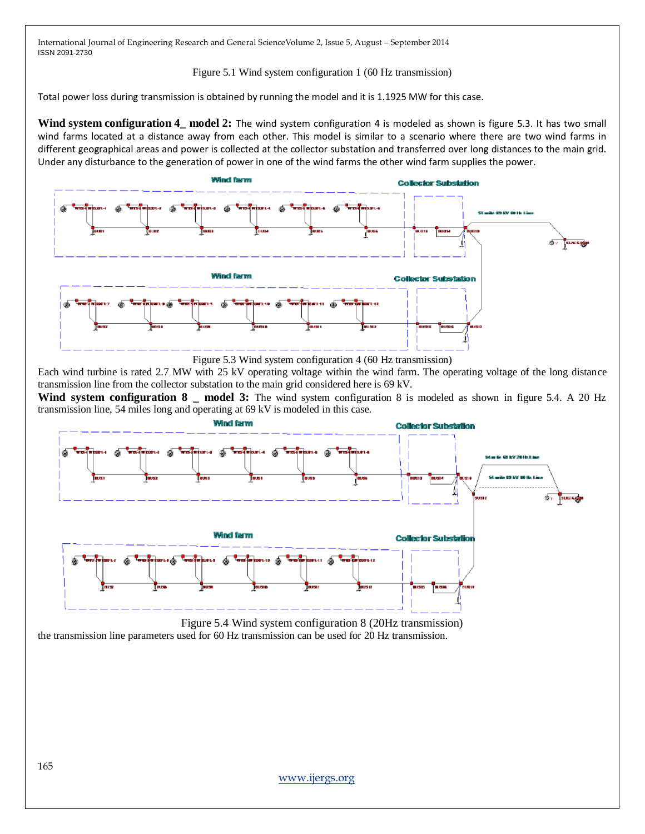#### Figure 5.1 Wind system configuration 1 (60 Hz transmission)

Total power loss during transmission is obtained by running the model and it is 1.1925 MW for this case.

**Wind system configuration 4\_ model 2:** The wind system configuration 4 is modeled as shown is figure 5.3. It has two small wind farms located at a distance away from each other. This model is similar to a scenario where there are two wind farms in different geographical areas and power is collected at the collector substation and transferred over long distances to the main grid. Under any disturbance to the generation of power in one of the wind farms the other wind farm supplies the power.



Figure 5.3 Wind system configuration 4 (60 Hz transmission)

Each wind turbine is rated 2.7 MW with 25 kV operating voltage within the wind farm. The operating voltage of the long distance transmission line from the collector substation to the main grid considered here is 69 kV.

**Wind system configuration 8 \_ model 3:** The wind system configuration 8 is modeled as shown in figure 5.4. A 20 Hz transmission line, 54 miles long and operating at 69 kV is modeled in this case.



Figure 5.4 Wind system configuration 8 (20Hz transmission) the transmission line parameters used for 60 Hz transmission can be used for 20 Hz transmission.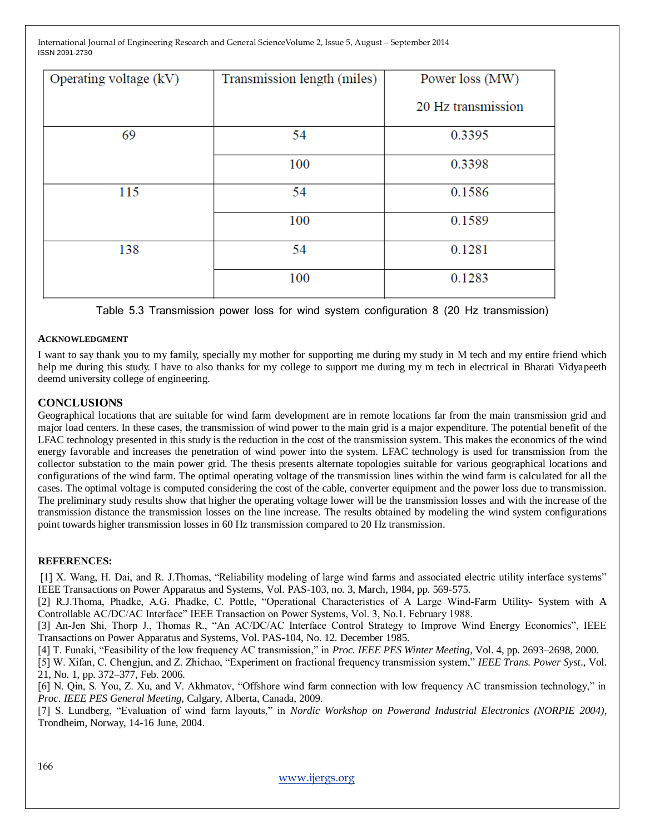| Operating voltage (kV) | Transmission length (miles) | Power loss (MW)    |
|------------------------|-----------------------------|--------------------|
|                        |                             | 20 Hz transmission |
| 69                     | 54                          | 0.3395             |
|                        | 100                         | 0.3398             |
| 115                    | 54                          | 0.1586             |
|                        | 100                         | 0.1589             |
| 138                    | 54                          | 0.1281             |
|                        | 100                         | 0.1283             |

Table 5.3 Transmission power loss for wind system configuration 8 (20 Hz transmission)

#### **ACKNOWLEDGMENT**

I want to say thank you to my family, specially my mother for supporting me during my study in M tech and my entire friend which help me during this study. I have to also thanks for my college to support me during my m tech in electrical in Bharati Vidyapeeth deemd university college of engineering.

#### **CONCLUSIONS**

Geographical locations that are suitable for wind farm development are in remote locations far from the main transmission grid and major load centers. In these cases, the transmission of wind power to the main grid is a major expenditure. The potential benefit of the LFAC technology presented in this study is the reduction in the cost of the transmission system. This makes the economics of the wind energy favorable and increases the penetration of wind power into the system. LFAC technology is used for transmission from the collector substation to the main power grid. The thesis presents alternate topologies suitable for various geographical locations and configurations of the wind farm. The optimal operating voltage of the transmission lines within the wind farm is calculated for all the cases. The optimal voltage is computed considering the cost of the cable, converter equipment and the power loss due to transmission. The preliminary study results show that higher the operating voltage lower will be the transmission losses and with the increase of the transmission distance the transmission losses on the line increase. The results obtained by modeling the wind system configurations point towards higher transmission losses in 60 Hz transmission compared to 20 Hz transmission.

#### **REFERENCES:**

[1] X. Wang, H. Dai, and R. J.Thomas, "Reliability modeling of large wind farms and associated electric utility interface systems" IEEE Transactions on Power Apparatus and Systems, Vol. PAS-103, no. 3, March, 1984, pp. 569-575.

[2] R.J.Thoma, Phadke, A.G. Phadke, C. Pottle, "Operational Characteristics of A Large Wind-Farm Utility- System with A Controllable AC/DC/AC Interface" IEEE Transaction on Power Systems, Vol. 3, No.1. February 1988.

[3] An-Jen Shi, Thorp J., Thomas R., "An AC/DC/AC Interface Control Strategy to Improve Wind Energy Economics", IEEE Transactions on Power Apparatus and Systems, Vol. PAS-104, No. 12. December 1985.

[4] T. Funaki, "Feasibility of the low frequency AC transmission," in *Proc. IEEE PES Winter Meeting*, Vol. 4, pp. 2693–2698, 2000.

[5] W. Xifan, C. Chengjun, and Z. Zhichao, "Experiment on fractional frequency transmission system," *IEEE Trans. Power Syst.*, Vol. 21, No. 1, pp. 372–377, Feb. 2006.

[6] N. Qin, S. You, Z. Xu, and V. Akhmatov, "Offshore wind farm connection with low frequency AC transmission technology," in *Proc. IEEE PES General Meeting*, Calgary, Alberta, Canada, 2009.

[7] S. Lundberg, "Evaluation of wind farm layouts," in *Nordic Workshop on Powerand Industrial Electronics (NORPIE 2004)*, Trondheim, Norway, 14-16 June, 2004.